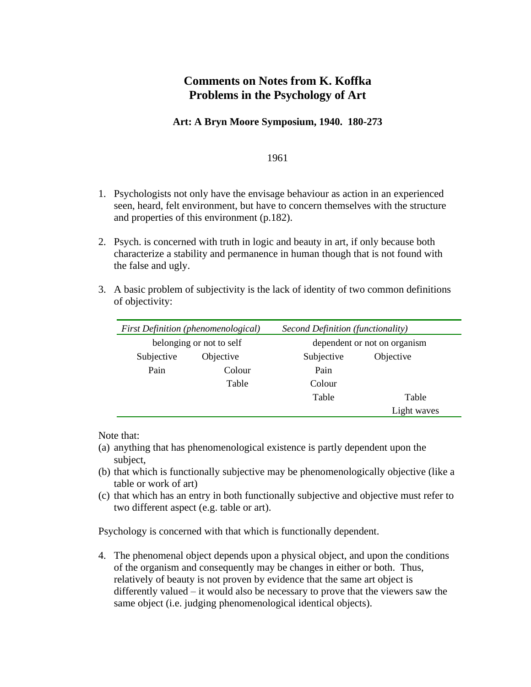## **Comments on Notes from K. Koffka Problems in the Psychology of Art**

## **Art: A Bryn Moore Symposium, 1940. 180-273**

## 1961

- 1. Psychologists not only have the envisage behaviour as action in an experienced seen, heard, felt environment, but have to concern themselves with the structure and properties of this environment (p.182).
- 2. Psych. is concerned with truth in logic and beauty in art, if only because both characterize a stability and permanence in human though that is not found with the false and ugly.
- 3. A basic problem of subjectivity is the lack of identity of two common definitions of objectivity:

| <b>First Definition (phenomenological)</b> |           | Second Definition (functionality) |             |
|--------------------------------------------|-----------|-----------------------------------|-------------|
| belonging or not to self                   |           | dependent or not on organism      |             |
| Subjective                                 | Objective | Subjective                        | Objective   |
| Pain                                       | Colour    | Pain                              |             |
|                                            | Table     | Colour                            |             |
|                                            |           | Table                             | Table       |
|                                            |           |                                   | Light waves |

Note that:

- (a) anything that has phenomenological existence is partly dependent upon the subject,
- (b) that which is functionally subjective may be phenomenologically objective (like a table or work of art)
- (c) that which has an entry in both functionally subjective and objective must refer to two different aspect (e.g. table or art).

Psychology is concerned with that which is functionally dependent.

4. The phenomenal object depends upon a physical object, and upon the conditions of the organism and consequently may be changes in either or both. Thus, relatively of beauty is not proven by evidence that the same art object is differently valued – it would also be necessary to prove that the viewers saw the same object (i.e. judging phenomenological identical objects).